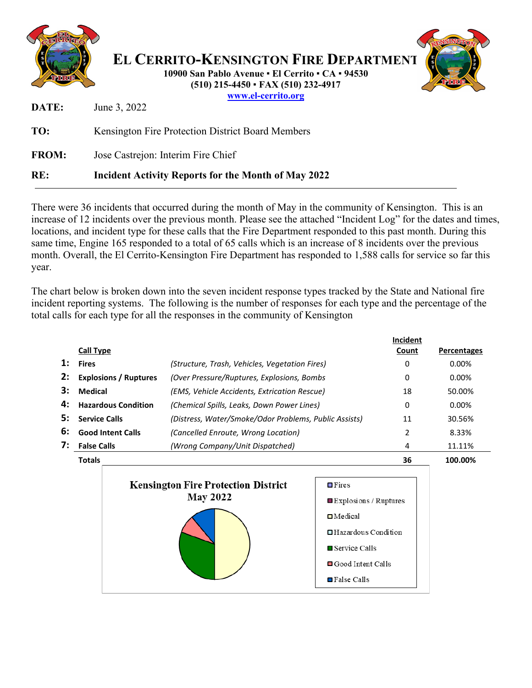

There were 36 incidents that occurred during the month of May in the community of Kensington. This is an increase of 12 incidents over the previous month. Please see the attached "Incident Log" for the dates and times, locations, and incident type for these calls that the Fire Department responded to this past month. During this same time, Engine 165 responded to a total of 65 calls which is an increase of 8 incidents over the previous month. Overall, the El Cerrito-Kensington Fire Department has responded to 1,588 calls for service so far this year.

The chart below is broken down into the seven incident response types tracked by the State and National fire incident reporting systems. The following is the number of responses for each type and the percentage of the total calls for each type for all the responses in the community of Kensington

|                | <b>Call Type</b>             |                                                               |                                                                                                | Incident<br>Count | <b>Percentages</b> |
|----------------|------------------------------|---------------------------------------------------------------|------------------------------------------------------------------------------------------------|-------------------|--------------------|
| $\mathbf{1}$ : | <b>Fires</b>                 | (Structure, Trash, Vehicles, Vegetation Fires)                |                                                                                                | 0                 | 0.00%              |
| 2:             | <b>Explosions / Ruptures</b> | (Over Pressure/Ruptures, Explosions, Bombs                    |                                                                                                | 0                 | $0.00\%$           |
| З:             | <b>Medical</b>               | (EMS, Vehicle Accidents, Extrication Rescue)                  |                                                                                                | 18                | 50.00%             |
| 4:             | <b>Hazardous Condition</b>   | (Chemical Spills, Leaks, Down Power Lines)                    |                                                                                                | 0                 | $0.00\%$           |
| 5:             | <b>Service Calls</b>         | (Distress, Water/Smoke/Odor Problems, Public Assists)         |                                                                                                | 11                | 30.56%             |
| 6:             | <b>Good Intent Calls</b>     | (Cancelled Enroute, Wrong Location)                           |                                                                                                | 2                 | 8.33%              |
| 7:             | <b>False Calls</b>           | (Wrong Company/Unit Dispatched)                               |                                                                                                | 4                 | 11.11%             |
|                | <b>Totals</b>                |                                                               |                                                                                                | 36                | 100.00%            |
|                |                              | <b>Kensington Fire Protection District</b><br><b>May 2022</b> | $\blacksquare$ Fires<br>■Explosions / Ruptures<br>$\Box$ Medical<br>$\Box$ Hazardous Condition |                   |                    |

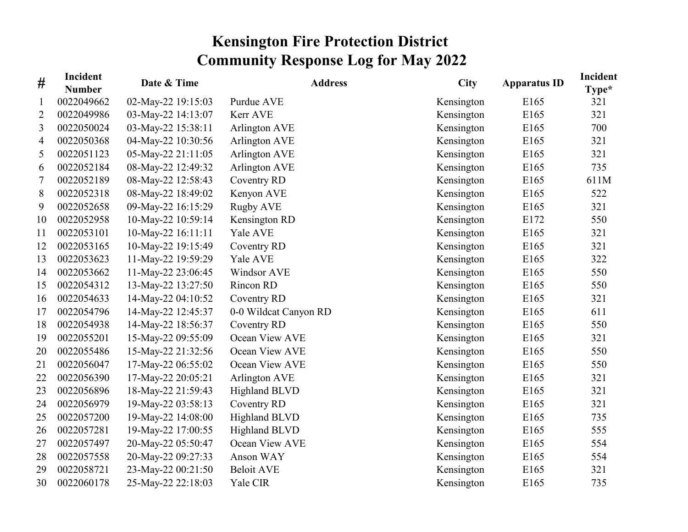## **Kensington Fire Protection District Community Response Log for May 2022**

| #  | Incident<br><b>Number</b> | Date & Time        | <b>Address</b>        | <b>City</b> | <b>Apparatus ID</b> | Incident<br>$Type*$ |
|----|---------------------------|--------------------|-----------------------|-------------|---------------------|---------------------|
| 1  | 0022049662                | 02-May-22 19:15:03 | Purdue AVE            | Kensington  | E <sub>165</sub>    | 321                 |
| 2  | 0022049986                | 03-May-22 14:13:07 | Kerr AVE              | Kensington  | E165                | 321                 |
| 3  | 0022050024                | 03-May-22 15:38:11 | Arlington AVE         | Kensington  | E165                | 700                 |
| 4  | 0022050368                | 04-May-22 10:30:56 | Arlington AVE         | Kensington  | E165                | 321                 |
| 5  | 0022051123                | 05-May-22 21:11:05 | Arlington AVE         | Kensington  | E165                | 321                 |
| 6  | 0022052184                | 08-May-22 12:49:32 | Arlington AVE         | Kensington  | E165                | 735                 |
| 7  | 0022052189                | 08-May-22 12:58:43 | Coventry RD           | Kensington  | E165                | 611M                |
| 8  | 0022052318                | 08-May-22 18:49:02 | Kenyon AVE            | Kensington  | E165                | 522                 |
| 9  | 0022052658                | 09-May-22 16:15:29 | <b>Rugby AVE</b>      | Kensington  | E165                | 321                 |
| 10 | 0022052958                | 10-May-22 10:59:14 | Kensington RD         | Kensington  | E172                | 550                 |
| 11 | 0022053101                | 10-May-22 16:11:11 | Yale AVE              | Kensington  | E165                | 321                 |
| 12 | 0022053165                | 10-May-22 19:15:49 | Coventry RD           | Kensington  | E165                | 321                 |
| 13 | 0022053623                | 11-May-22 19:59:29 | Yale AVE              | Kensington  | E165                | 322                 |
| 14 | 0022053662                | 11-May-22 23:06:45 | Windsor AVE           | Kensington  | E165                | 550                 |
| 15 | 0022054312                | 13-May-22 13:27:50 | Rincon RD             | Kensington  | E165                | 550                 |
| 16 | 0022054633                | 14-May-22 04:10:52 | Coventry RD           | Kensington  | E165                | 321                 |
| 17 | 0022054796                | 14-May-22 12:45:37 | 0-0 Wildcat Canyon RD | Kensington  | E165                | 611                 |
| 18 | 0022054938                | 14-May-22 18:56:37 | Coventry RD           | Kensington  | E165                | 550                 |
| 19 | 0022055201                | 15-May-22 09:55:09 | Ocean View AVE        | Kensington  | E165                | 321                 |
| 20 | 0022055486                | 15-May-22 21:32:56 | Ocean View AVE        | Kensington  | E165                | 550                 |
| 21 | 0022056047                | 17-May-22 06:55:02 | Ocean View AVE        | Kensington  | E165                | 550                 |
| 22 | 0022056390                | 17-May-22 20:05:21 | Arlington AVE         | Kensington  | E165                | 321                 |
| 23 | 0022056896                | 18-May-22 21:59:43 | <b>Highland BLVD</b>  | Kensington  | E165                | 321                 |
| 24 | 0022056979                | 19-May-22 03:58:13 | Coventry RD           | Kensington  | E165                | 321                 |
| 25 | 0022057200                | 19-May-22 14:08:00 | <b>Highland BLVD</b>  | Kensington  | E165                | 735                 |
| 26 | 0022057281                | 19-May-22 17:00:55 | <b>Highland BLVD</b>  | Kensington  | E165                | 555                 |
| 27 | 0022057497                | 20-May-22 05:50:47 | Ocean View AVE        | Kensington  | E165                | 554                 |
| 28 | 0022057558                | 20-May-22 09:27:33 | Anson WAY             | Kensington  | E165                | 554                 |
| 29 | 0022058721                | 23-May-22 00:21:50 | <b>Beloit AVE</b>     | Kensington  | E165                | 321                 |
| 30 | 0022060178                | 25-May-22 22:18:03 | Yale CIR              | Kensington  | E165                | 735                 |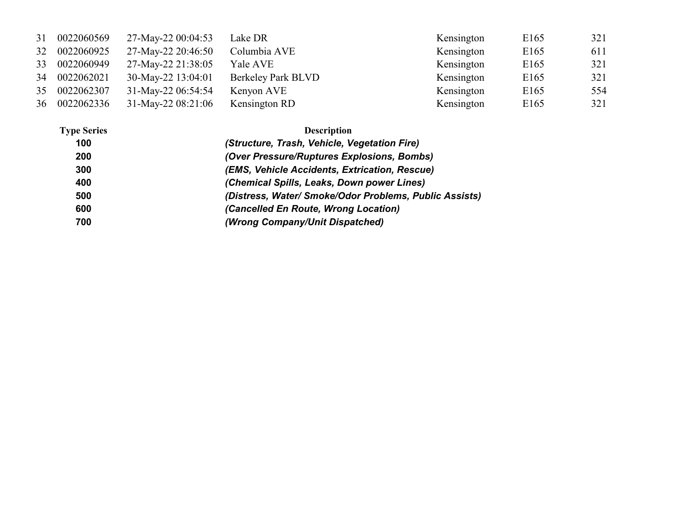| 31 | 0022060569    | 27-May-22 00:04:53 | Lake DR                   | Kensington | E <sub>165</sub> | 321 |
|----|---------------|--------------------|---------------------------|------------|------------------|-----|
| 32 | 0022060925    | 27-May-22 20:46:50 | Columbia AVE              | Kensington | E165             | 611 |
| 33 | 0022060949    | 27-May-22 21:38:05 | Yale AVE                  | Kensington | E <sub>165</sub> | 321 |
|    | 34 0022062021 | 30-May-22 13:04:01 | <b>Berkeley Park BLVD</b> | Kensington | E <sub>165</sub> | 321 |
| 35 | 0022062307    | 31-May-22 06:54:54 | Kenyon AVE                | Kensington | E165             | 554 |
| 36 | 0022062336    | 31-May-22 08:21:06 | Kensington RD             | Kensington | E <sub>165</sub> | 321 |

| <b>Type Series</b> | <b>Description</b>                                     |
|--------------------|--------------------------------------------------------|
| 100                | (Structure, Trash, Vehicle, Vegetation Fire)           |
| 200                | (Over Pressure/Ruptures Explosions, Bombs)             |
| 300                | (EMS, Vehicle Accidents, Extrication, Rescue)          |
| 400                | (Chemical Spills, Leaks, Down power Lines)             |
| 500                | (Distress, Water/ Smoke/Odor Problems, Public Assists) |
| 600                | (Cancelled En Route, Wrong Location)                   |
| 700                | (Wrong Company/Unit Dispatched)                        |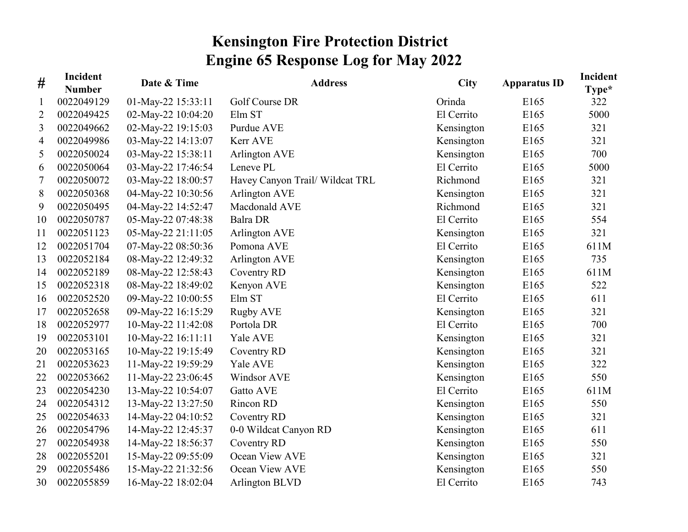## **Kensington Fire Protection District Engine 65 Response Log for May 2022**

| #  | Incident<br><b>Number</b> | Date & Time        | <b>Address</b>                  | <b>City</b> | <b>Apparatus ID</b> | Incident<br>Type* |
|----|---------------------------|--------------------|---------------------------------|-------------|---------------------|-------------------|
| 1  | 0022049129                | 01-May-22 15:33:11 | Golf Course DR                  | Orinda      | E <sub>165</sub>    | 322               |
| 2  | 0022049425                | 02-May-22 10:04:20 | Elm ST                          | El Cerrito  | E165                | 5000              |
| 3  | 0022049662                | 02-May-22 19:15:03 | Purdue AVE                      | Kensington  | E165                | 321               |
| 4  | 0022049986                | 03-May-22 14:13:07 | Kerr AVE                        | Kensington  | E165                | 321               |
| 5  | 0022050024                | 03-May-22 15:38:11 | Arlington AVE                   | Kensington  | E165                | 700               |
| 6  | 0022050064                | 03-May-22 17:46:54 | Leneve PL                       | El Cerrito  | E165                | 5000              |
| 7  | 0022050072                | 03-May-22 18:00:57 | Havey Canyon Trail/ Wildcat TRL | Richmond    | E165                | 321               |
| 8  | 0022050368                | 04-May-22 10:30:56 | Arlington AVE                   | Kensington  | E165                | 321               |
| 9  | 0022050495                | 04-May-22 14:52:47 | Macdonald AVE                   | Richmond    | E165                | 321               |
| 10 | 0022050787                | 05-May-22 07:48:38 | Balra DR                        | El Cerrito  | E165                | 554               |
| 11 | 0022051123                | 05-May-22 21:11:05 | Arlington AVE                   | Kensington  | E165                | 321               |
| 12 | 0022051704                | 07-May-22 08:50:36 | Pomona AVE                      | El Cerrito  | E165                | 611M              |
| 13 | 0022052184                | 08-May-22 12:49:32 | Arlington AVE                   | Kensington  | E165                | 735               |
| 14 | 0022052189                | 08-May-22 12:58:43 | Coventry RD                     | Kensington  | E165                | 611M              |
| 15 | 0022052318                | 08-May-22 18:49:02 | Kenyon AVE                      | Kensington  | E165                | 522               |
| 16 | 0022052520                | 09-May-22 10:00:55 | Elm ST                          | El Cerrito  | E165                | 611               |
| 17 | 0022052658                | 09-May-22 16:15:29 | <b>Rugby AVE</b>                | Kensington  | E165                | 321               |
| 18 | 0022052977                | 10-May-22 11:42:08 | Portola DR                      | El Cerrito  | E165                | 700               |
| 19 | 0022053101                | 10-May-22 16:11:11 | Yale AVE                        | Kensington  | E165                | 321               |
| 20 | 0022053165                | 10-May-22 19:15:49 | Coventry RD                     | Kensington  | E165                | 321               |
| 21 | 0022053623                | 11-May-22 19:59:29 | Yale AVE                        | Kensington  | E165                | 322               |
| 22 | 0022053662                | 11-May-22 23:06:45 | Windsor AVE                     | Kensington  | E165                | 550               |
| 23 | 0022054230                | 13-May-22 10:54:07 | Gatto AVE                       | El Cerrito  | E165                | 611M              |
| 24 | 0022054312                | 13-May-22 13:27:50 | Rincon RD                       | Kensington  | E165                | 550               |
| 25 | 0022054633                | 14-May-22 04:10:52 | Coventry RD                     | Kensington  | E165                | 321               |
| 26 | 0022054796                | 14-May-22 12:45:37 | 0-0 Wildcat Canyon RD           | Kensington  | E165                | 611               |
| 27 | 0022054938                | 14-May-22 18:56:37 | Coventry RD                     | Kensington  | E165                | 550               |
| 28 | 0022055201                | 15-May-22 09:55:09 | Ocean View AVE                  | Kensington  | E165                | 321               |
| 29 | 0022055486                | 15-May-22 21:32:56 | Ocean View AVE                  | Kensington  | E165                | 550               |
| 30 | 0022055859                | 16-May-22 18:02:04 | Arlington BLVD                  | El Cerrito  | E165                | 743               |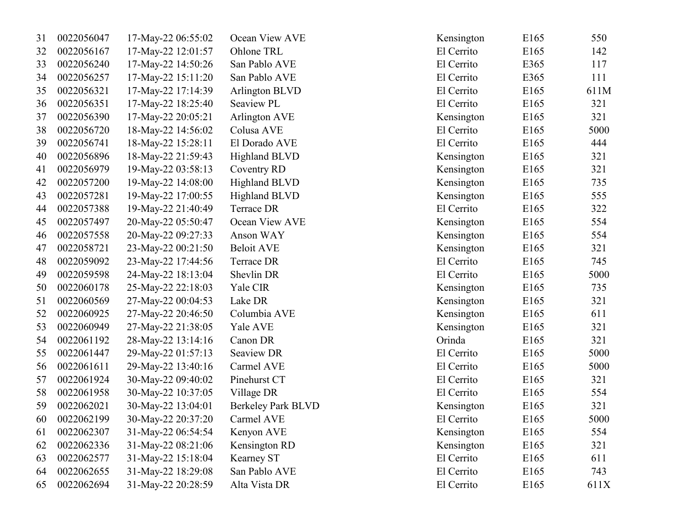| 31 | 0022056047 | 17-May-22 06:55:02 | Ocean View AVE            | Kensington | E165             | 550  |
|----|------------|--------------------|---------------------------|------------|------------------|------|
| 32 | 0022056167 | 17-May-22 12:01:57 | Ohlone TRL                | El Cerrito | E165             | 142  |
| 33 | 0022056240 | 17-May-22 14:50:26 | San Pablo AVE             | El Cerrito | E365             | 117  |
| 34 | 0022056257 | 17-May-22 15:11:20 | San Pablo AVE             | El Cerrito | E365             | 111  |
| 35 | 0022056321 | 17-May-22 17:14:39 | Arlington BLVD            | El Cerrito | E165             | 611M |
| 36 | 0022056351 | 17-May-22 18:25:40 | Seaview PL                | El Cerrito | E165             | 321  |
| 37 | 0022056390 | 17-May-22 20:05:21 | Arlington AVE             | Kensington | E165             | 321  |
| 38 | 0022056720 | 18-May-22 14:56:02 | Colusa AVE                | El Cerrito | E165             | 5000 |
| 39 | 0022056741 | 18-May-22 15:28:11 | El Dorado AVE             | El Cerrito | E165             | 444  |
| 40 | 0022056896 | 18-May-22 21:59:43 | <b>Highland BLVD</b>      | Kensington | E165             | 321  |
| 41 | 0022056979 | 19-May-22 03:58:13 | Coventry RD               | Kensington | E165             | 321  |
| 42 | 0022057200 | 19-May-22 14:08:00 | <b>Highland BLVD</b>      | Kensington | E165             | 735  |
| 43 | 0022057281 | 19-May-22 17:00:55 | <b>Highland BLVD</b>      | Kensington | E165             | 555  |
| 44 | 0022057388 | 19-May-22 21:40:49 | Terrace DR                | El Cerrito | E165             | 322  |
| 45 | 0022057497 | 20-May-22 05:50:47 | Ocean View AVE            | Kensington | E165             | 554  |
| 46 | 0022057558 | 20-May-22 09:27:33 | Anson WAY                 | Kensington | E165             | 554  |
| 47 | 0022058721 | 23-May-22 00:21:50 | <b>Beloit AVE</b>         | Kensington | E165             | 321  |
| 48 | 0022059092 | 23-May-22 17:44:56 | Terrace DR                | El Cerrito | E165             | 745  |
| 49 | 0022059598 | 24-May-22 18:13:04 | Shevlin DR                | El Cerrito | E165             | 5000 |
| 50 | 0022060178 | 25-May-22 22:18:03 | Yale CIR                  | Kensington | E <sub>165</sub> | 735  |
| 51 | 0022060569 | 27-May-22 00:04:53 | Lake DR                   | Kensington | E165             | 321  |
| 52 | 0022060925 | 27-May-22 20:46:50 | Columbia AVE              | Kensington | E <sub>165</sub> | 611  |
| 53 | 0022060949 | 27-May-22 21:38:05 | Yale AVE                  | Kensington | E165             | 321  |
| 54 | 0022061192 | 28-May-22 13:14:16 | Canon DR                  | Orinda     | E <sub>165</sub> | 321  |
| 55 | 0022061447 | 29-May-22 01:57:13 | Seaview DR                | El Cerrito | E165             | 5000 |
| 56 | 0022061611 | 29-May-22 13:40:16 | Carmel AVE                | El Cerrito | E <sub>165</sub> | 5000 |
| 57 | 0022061924 | 30-May-22 09:40:02 | Pinehurst CT              | El Cerrito | E <sub>165</sub> | 321  |
| 58 | 0022061958 | 30-May-22 10:37:05 | Village DR                | El Cerrito | E <sub>165</sub> | 554  |
| 59 | 0022062021 | 30-May-22 13:04:01 | <b>Berkeley Park BLVD</b> | Kensington | E165             | 321  |
| 60 | 0022062199 | 30-May-22 20:37:20 | Carmel AVE                | El Cerrito | E <sub>165</sub> | 5000 |
| 61 | 0022062307 | 31-May-22 06:54:54 | Kenyon AVE                | Kensington | E <sub>165</sub> | 554  |
| 62 | 0022062336 | 31-May-22 08:21:06 | Kensington RD             | Kensington | E165             | 321  |
| 63 | 0022062577 | 31-May-22 15:18:04 | Kearney ST                | El Cerrito | E165             | 611  |
| 64 | 0022062655 | 31-May-22 18:29:08 | San Pablo AVE             | El Cerrito | E165             | 743  |
| 65 | 0022062694 | 31-May-22 20:28:59 | Alta Vista DR             | El Cerrito | E165             | 611X |